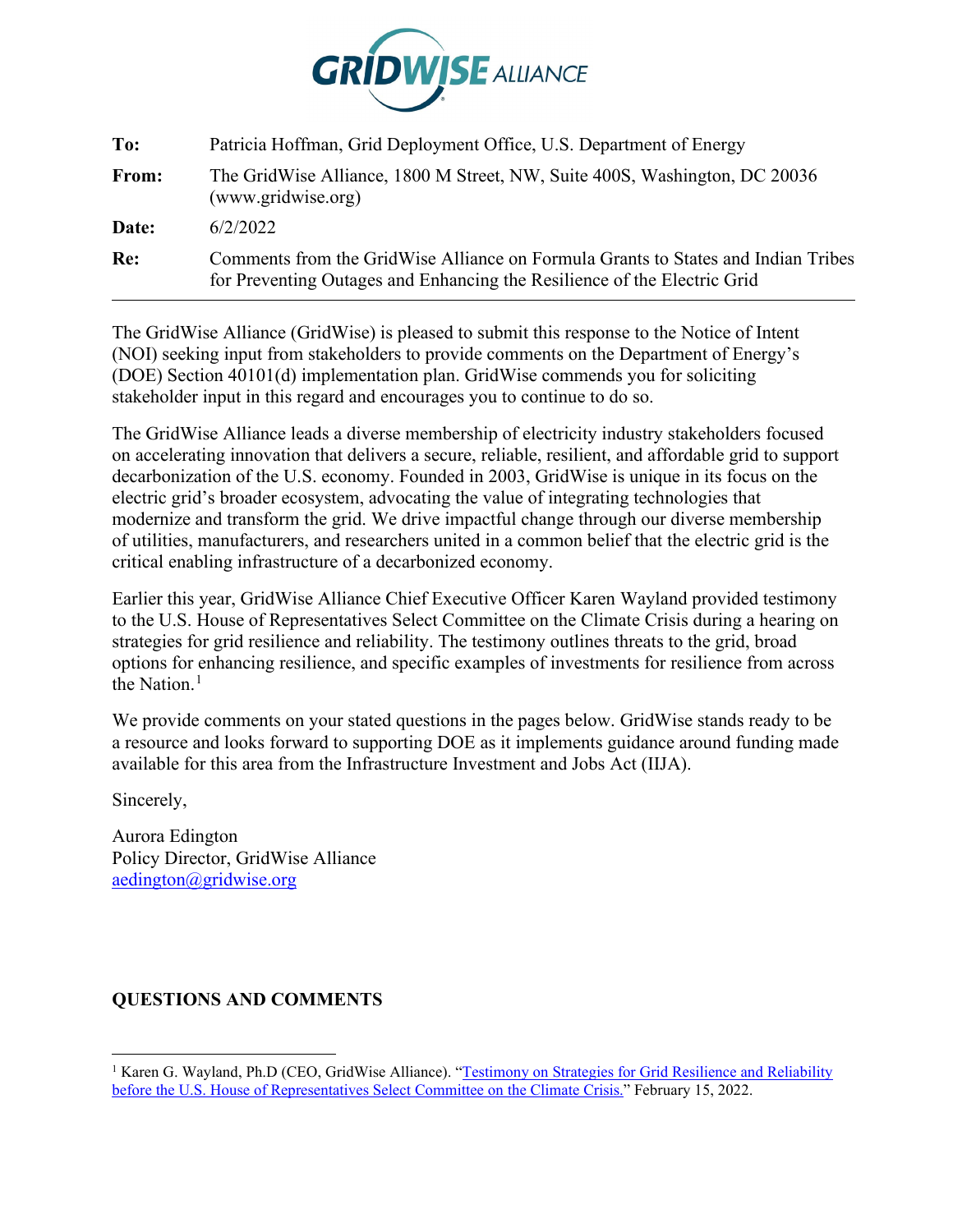

| To:   | Patricia Hoffman, Grid Deployment Office, U.S. Department of Energy                                                                                           |
|-------|---------------------------------------------------------------------------------------------------------------------------------------------------------------|
| From: | The GridWise Alliance, 1800 M Street, NW, Suite 400S, Washington, DC 20036<br>(www.gridwise.org)                                                              |
| Date: | 6/2/2022                                                                                                                                                      |
| Re:   | Comments from the GridWise Alliance on Formula Grants to States and Indian Tribes<br>for Preventing Outages and Enhancing the Resilience of the Electric Grid |

The GridWise Alliance (GridWise) is pleased to submit this response to the Notice of Intent (NOI) seeking input from stakeholders to provide comments on the Department of Energy's (DOE) Section 40101(d) implementation plan. GridWise commends you for soliciting stakeholder input in this regard and encourages you to continue to do so.

The GridWise Alliance leads a diverse membership of electricity industry stakeholders focused on accelerating innovation that delivers a secure, reliable, resilient, and affordable grid to support decarbonization of the U.S. economy. Founded in 2003, GridWise is unique in its focus on the electric grid's broader ecosystem, advocating the value of integrating technologies that modernize and transform the grid. We drive impactful change through our diverse membership of utilities, manufacturers, and researchers united in a common belief that the electric grid is the critical enabling infrastructure of a decarbonized economy.

Earlier this year, GridWise Alliance Chief Executive Officer Karen Wayland provided testimony to the U.S. House of Representatives Select Committee on the Climate Crisis during a hearing on strategies for grid resilience and reliability. The testimony outlines threats to the grid, broad options for enhancing resilience, and specific examples of investments for resilience from across the Nation. $<sup>1</sup>$  $<sup>1</sup>$  $<sup>1</sup>$ </sup>

We provide comments on your stated questions in the pages below. GridWise stands ready to be a resource and looks forward to supporting DOE as it implements guidance around funding made available for this area from the Infrastructure Investment and Jobs Act (IIJA).

Sincerely,

Aurora Edington Policy Director, GridWise Alliance [aedington@gridwise.org](mailto:aedington@gridwise.org)

## **QUESTIONS AND COMMENTS**

<span id="page-0-0"></span><sup>&</sup>lt;sup>1</sup> Karen G. Wayland, Ph.D (CEO, GridWise Alliance). "Testimony on Strategies for Grid Resilience and Reliability [before the U.S. House of Representatives Select Committee on the Climate Crisis."](https://gridwise.org/wp-content/uploads/2022/02/House-Select-Committee-Climate-Wayland-Grid-Resilience-Testimony-021522.pdf) February 15, 2022.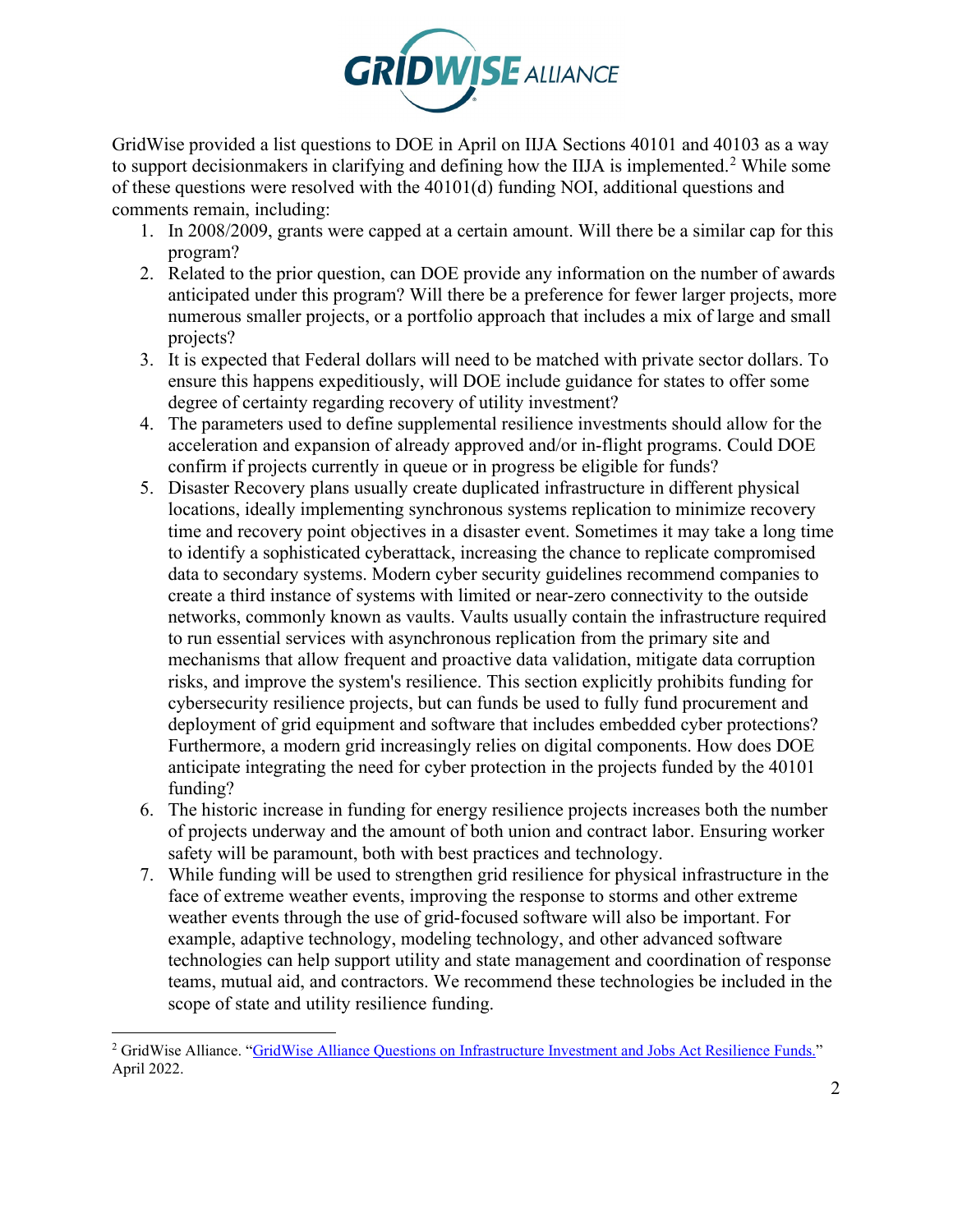

GridWise provided a list questions to DOE in April on IIJA Sections 40101 and 40103 as a way to support decisionmakers in clarifying and defining how the IIJA is implemented.<sup>[2](#page-1-0)</sup> While some of these questions were resolved with the 40101(d) funding NOI, additional questions and comments remain, including:

- 1. In 2008/2009, grants were capped at a certain amount. Will there be a similar cap for this program?
- 2. Related to the prior question, can DOE provide any information on the number of awards anticipated under this program? Will there be a preference for fewer larger projects, more numerous smaller projects, or a portfolio approach that includes a mix of large and small projects?
- 3. It is expected that Federal dollars will need to be matched with private sector dollars. To ensure this happens expeditiously, will DOE include guidance for states to offer some degree of certainty regarding recovery of utility investment?
- 4. The parameters used to define supplemental resilience investments should allow for the acceleration and expansion of already approved and/or in-flight programs. Could DOE confirm if projects currently in queue or in progress be eligible for funds?
- 5. Disaster Recovery plans usually create duplicated infrastructure in different physical locations, ideally implementing synchronous systems replication to minimize recovery time and recovery point objectives in a disaster event. Sometimes it may take a long time to identify a sophisticated cyberattack, increasing the chance to replicate compromised data to secondary systems. Modern cyber security guidelines recommend companies to create a third instance of systems with limited or near-zero connectivity to the outside networks, commonly known as vaults. Vaults usually contain the infrastructure required to run essential services with asynchronous replication from the primary site and mechanisms that allow frequent and proactive data validation, mitigate data corruption risks, and improve the system's resilience. This section explicitly prohibits funding for cybersecurity resilience projects, but can funds be used to fully fund procurement and deployment of grid equipment and software that includes embedded cyber protections? Furthermore, a modern grid increasingly relies on digital components. How does DOE anticipate integrating the need for cyber protection in the projects funded by the 40101 funding?
- 6. The historic increase in funding for energy resilience projects increases both the number of projects underway and the amount of both union and contract labor. Ensuring worker safety will be paramount, both with best practices and technology.
- 7. While funding will be used to strengthen grid resilience for physical infrastructure in the face of extreme weather events, improving the response to storms and other extreme weather events through the use of grid-focused software will also be important. For example, adaptive technology, modeling technology, and other advanced software technologies can help support utility and state management and coordination of response teams, mutual aid, and contractors. We recommend these technologies be included in the scope of state and utility resilience funding.

<span id="page-1-0"></span><sup>&</sup>lt;sup>2</sup> GridWise Alliance. "GridWise Alliance [Questions on Infrastructure Investment and Jobs Act Resilience Funds."](https://gridwise.org/wp-content/uploads/2022/04/GridWise-Alliance-Questions-on-IIJA-Resilience-Funds.pdf) April 2022.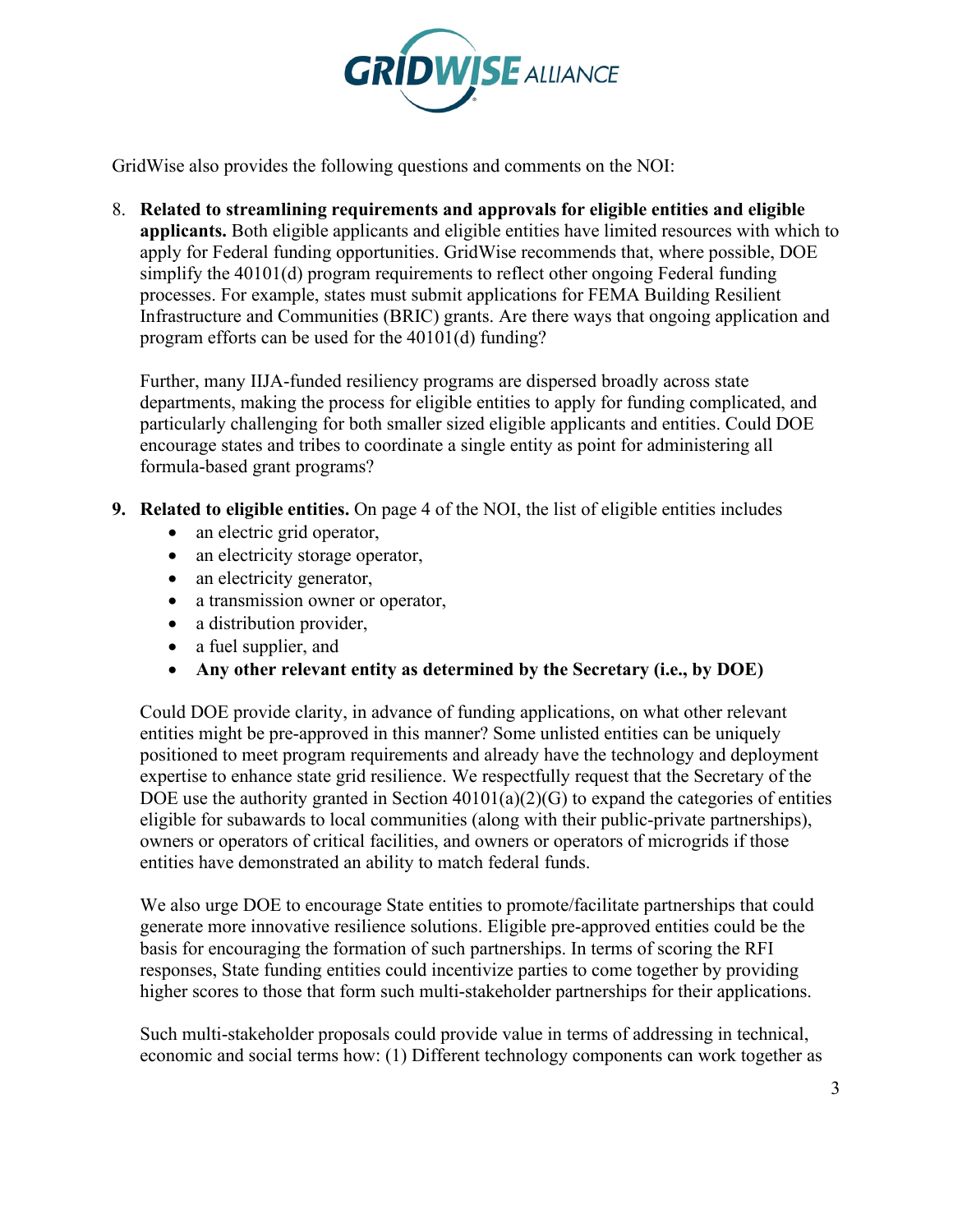

GridWise also provides the following questions and comments on the NOI:

8. **Related to streamlining requirements and approvals for eligible entities and eligible applicants.** Both eligible applicants and eligible entities have limited resources with which to apply for Federal funding opportunities. GridWise recommends that, where possible, DOE simplify the 40101(d) program requirements to reflect other ongoing Federal funding processes. For example, states must submit applications for FEMA Building Resilient Infrastructure and Communities (BRIC) grants. Are there ways that ongoing application and program efforts can be used for the 40101(d) funding?

Further, many IIJA-funded resiliency programs are dispersed broadly across state departments, making the process for eligible entities to apply for funding complicated, and particularly challenging for both smaller sized eligible applicants and entities. Could DOE encourage states and tribes to coordinate a single entity as point for administering all formula-based grant programs?

- **9. Related to eligible entities.** On page 4 of the NOI, the list of eligible entities includes
	- an electric grid operator,
	- an electricity storage operator,
	- an electricity generator,
	- a transmission owner or operator,
	- a distribution provider,
	- a fuel supplier, and
	- **Any other relevant entity as determined by the Secretary (i.e., by DOE)**

Could DOE provide clarity, in advance of funding applications, on what other relevant entities might be pre-approved in this manner? Some unlisted entities can be uniquely positioned to meet program requirements and already have the technology and deployment expertise to enhance state grid resilience. We respectfully request that the Secretary of the DOE use the authority granted in Section 40101(a)(2)(G) to expand the categories of entities eligible for subawards to local communities (along with their public-private partnerships), owners or operators of critical facilities, and owners or operators of microgrids if those entities have demonstrated an ability to match federal funds.

We also urge DOE to encourage State entities to promote/facilitate partnerships that could generate more innovative resilience solutions. Eligible pre-approved entities could be the basis for encouraging the formation of such partnerships. In terms of scoring the RFI responses, State funding entities could incentivize parties to come together by providing higher scores to those that form such multi-stakeholder partnerships for their applications.

Such multi-stakeholder proposals could provide value in terms of addressing in technical, economic and social terms how: (1) Different technology components can work together as